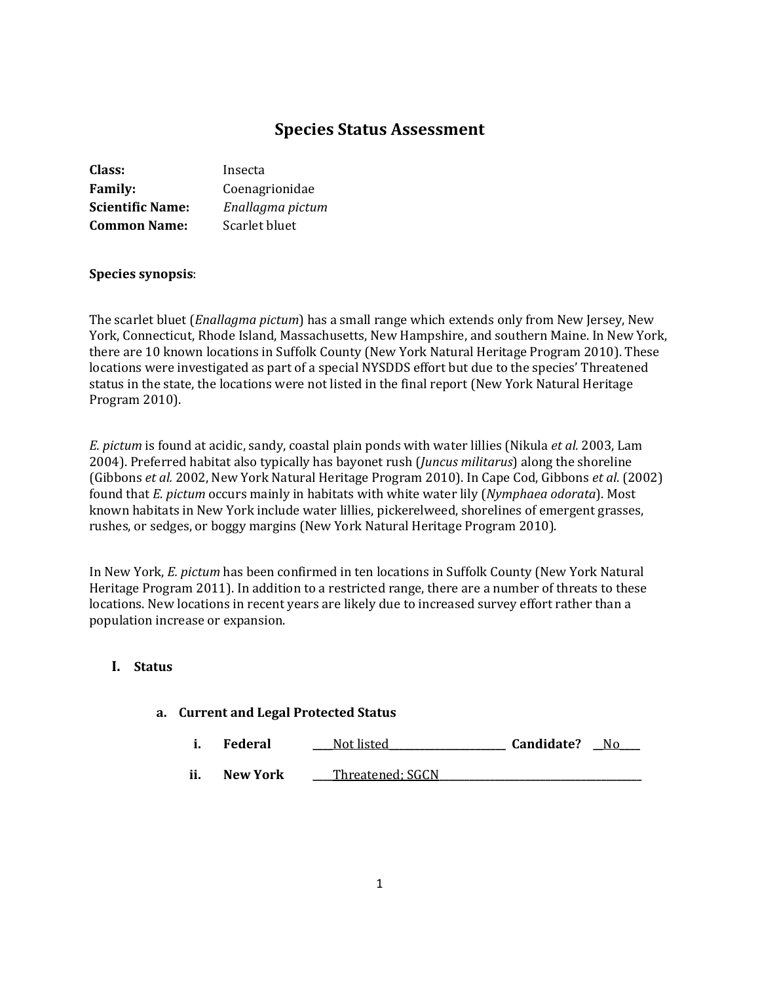# **Species Status Assessment**

| Class:                  | Insecta          |
|-------------------------|------------------|
| <b>Family:</b>          | Coenagrionidae   |
| <b>Scientific Name:</b> | Enallagma pictum |
| <b>Common Name:</b>     | Scarlet bluet    |

### **Species synopsis**:

The scarlet bluet (*Enallagma pictum*) has a small range which extends only from New Jersey, New York, Connecticut, Rhode Island, Massachusetts, New Hampshire, and southern Maine. In New York, there are 10 known locations in Suffolk County (New York Natural Heritage Program 2010). These locations were investigated as part of a special NYSDDS effort but due to the species' Threatened status in the state, the locations were not listed in the final report (New York Natural Heritage Program 2010).

*E. pictum* is found at acidic, sandy, coastal plain ponds with water lillies (Nikula *et al.* 2003, Lam 2004). Preferred habitat also typically has bayonet rush (*Juncus militarus*) along the shoreline (Gibbons *et al.* 2002, New York Natural Heritage Program 2010). In Cape Cod, Gibbons *et al.* (2002) found that *E. pictum* occurs mainly in habitats with white water lily (*Nymphaea odorata*). Most known habitats in New York include water lillies, pickerelweed, shorelines of emergent grasses, rushes, or sedges, or boggy margins (New York Natural Heritage Program 2010).

In New York, *E. pictum* has been confirmed in ten locations in Suffolk County (New York Natural Heritage Program 2011). In addition to a restricted range, there are a number of threats to these locations. New locations in recent years are likely due to increased survey effort rather than a population increase or expansion.

## **I. Status**

### **a. Current and Legal Protected Status**

|     | <b>Federal</b>  | Not listed       | Candidate? |  |
|-----|-----------------|------------------|------------|--|
| ii. | <b>New York</b> | Threatened: SGCN |            |  |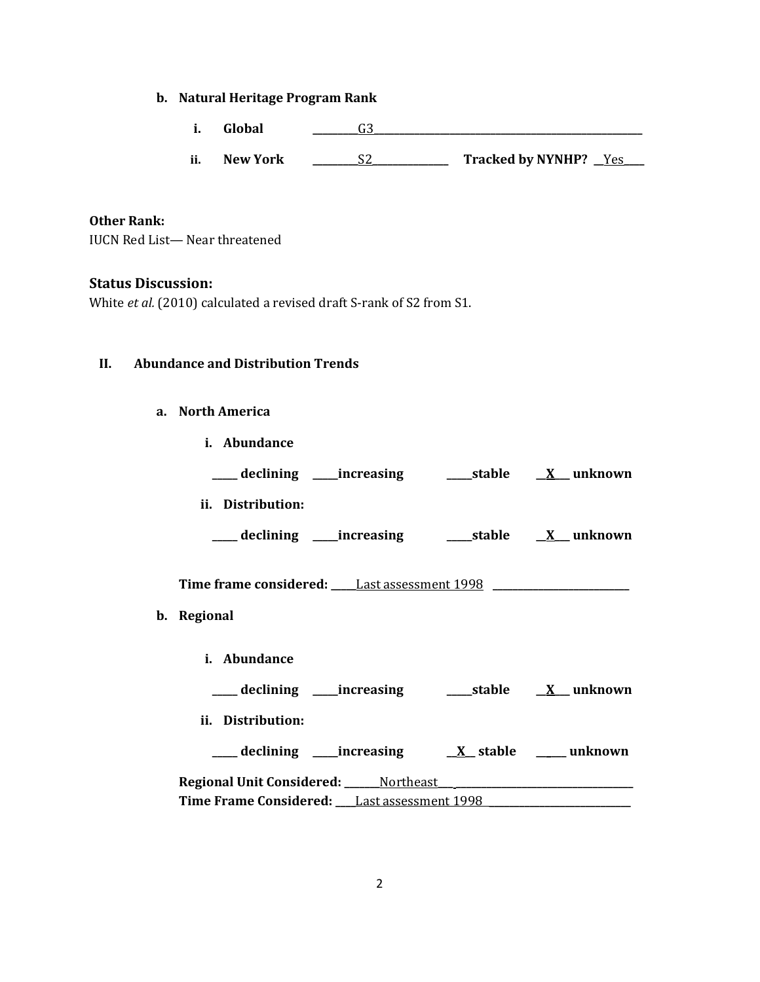# **b. Natural Heritage Program Rank**

- **i. Global \_\_\_\_\_\_\_\_\_**G3**\_\_\_\_\_\_\_\_\_\_\_\_\_\_\_\_\_\_\_\_\_\_\_\_\_\_\_\_\_\_\_\_\_\_\_\_\_\_\_\_\_\_\_\_\_\_\_\_\_\_\_\_\_**
- **ii. New York \_\_\_\_\_\_\_\_\_**S2**\_\_\_\_\_\_\_\_\_\_\_\_\_\_\_ Tracked by NYNHP? \_\_**Yes**\_\_\_\_**

# **Other Rank:**

IUCN Red List— Near threatened

# **Status Discussion:**

White *et al.* (2010) calculated a revised draft S-rank of S2 from S1.

## **II. Abundance and Distribution Trends**

## **a. North America**

| i. Abundance                                                                                    |                                                                      |  |
|-------------------------------------------------------------------------------------------------|----------------------------------------------------------------------|--|
|                                                                                                 |                                                                      |  |
| ii. Distribution:                                                                               |                                                                      |  |
|                                                                                                 | ___ declining ____increasing ________stable ___ <u>X__</u> _ unknown |  |
| Time frame considered: ______ Last assessment 1998 _____________________________<br>b. Regional |                                                                      |  |
|                                                                                                 |                                                                      |  |
| i. Abundance                                                                                    |                                                                      |  |
|                                                                                                 |                                                                      |  |
| ii. Distribution:                                                                               |                                                                      |  |
|                                                                                                 |                                                                      |  |
|                                                                                                 |                                                                      |  |
|                                                                                                 |                                                                      |  |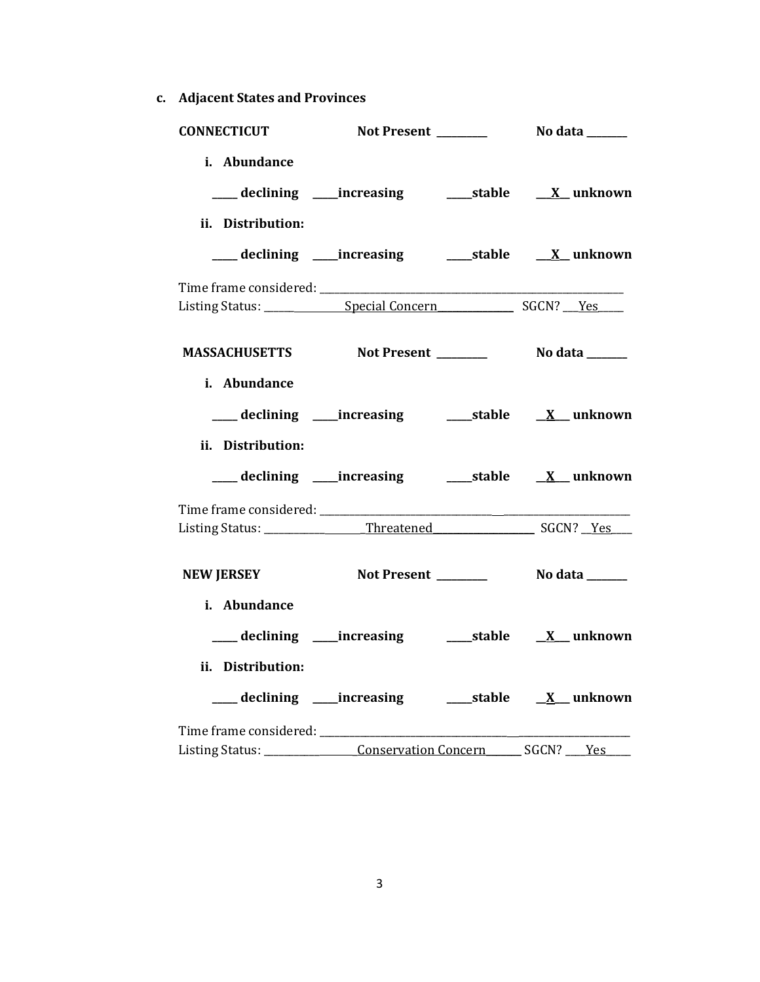**c. Adjacent States and Provinces**

| <b>CONNECTICUT</b>                |                                                                             |  |
|-----------------------------------|-----------------------------------------------------------------------------|--|
| i. Abundance                      | ____ declining ____ increasing ______ stable ___ X__ unknown                |  |
| ii. Distribution:                 | ___ declining ____increasing ______stable _____X__ unknown                  |  |
|                                   |                                                                             |  |
|                                   | MASSACHUSETTS Not Present _________ No data ______                          |  |
| i. Abundance<br>ii. Distribution: |                                                                             |  |
|                                   | ___ declining ____increasing ______stable __ <u>X</u> __unknown             |  |
|                                   |                                                                             |  |
| <b>NEW JERSEY</b>                 |                                                                             |  |
| i. Abundance<br>ii. Distribution: |                                                                             |  |
|                                   | Listing Status: ________________Conservation Concern ________ SGCN? ____Yes |  |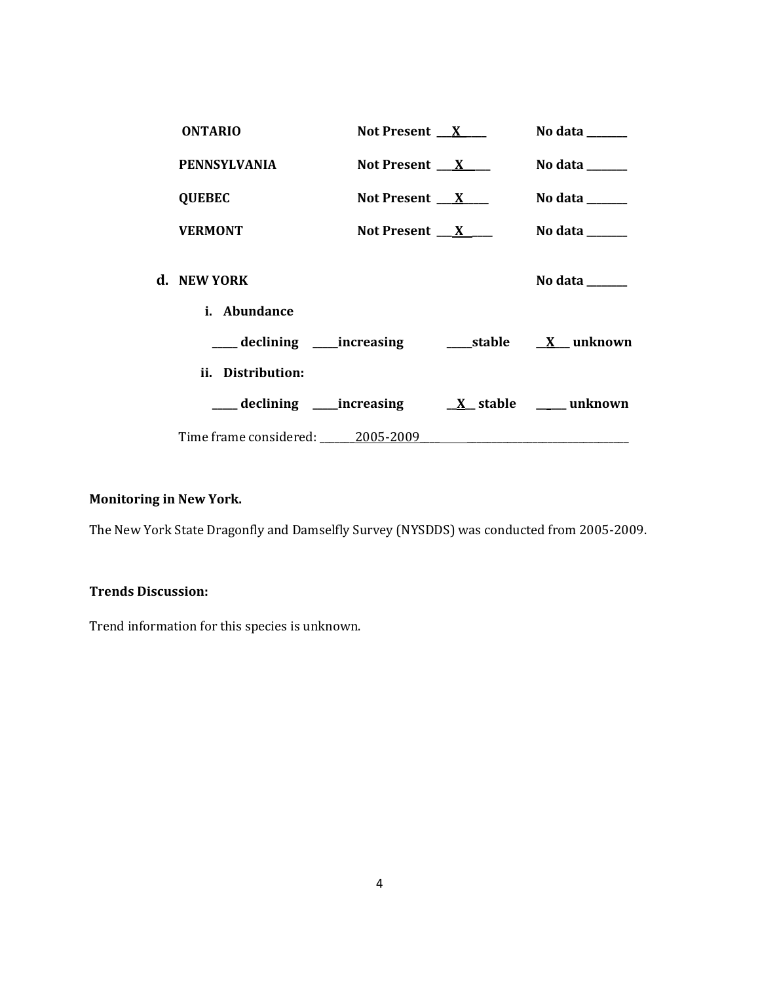| <b>ONTARIO</b>                   | Not Present $X$                       | No data $\_\_\_\_\_\_\_\_\_\_\_\$ |
|----------------------------------|---------------------------------------|-----------------------------------|
| <b>PENNSYLVANIA</b>              | Not Present $X$                       | No data $\frac{1}{2}$             |
| <b>QUEBEC</b>                    | Not Present $\mathbf{X}$ $\mathbf{X}$ | No data $\_\_\_\_\_\_\_\_\_\_\_\$ |
| <b>VERMONT</b>                   | Not Present $X$                       | No data $\_\_\_\_\_\_\_\_\_\_\$   |
| d. NEW YORK                      |                                       | No data ______                    |
| <i>i.</i> Abundance              |                                       |                                   |
|                                  |                                       |                                   |
| ii. Distribution:                |                                       |                                   |
|                                  |                                       |                                   |
| Time frame considered: 2005-2009 |                                       |                                   |

# **Monitoring in New York.**

The New York State Dragonfly and Damselfly Survey (NYSDDS) was conducted from 2005-2009.

# **Trends Discussion:**

Trend information for this species is unknown.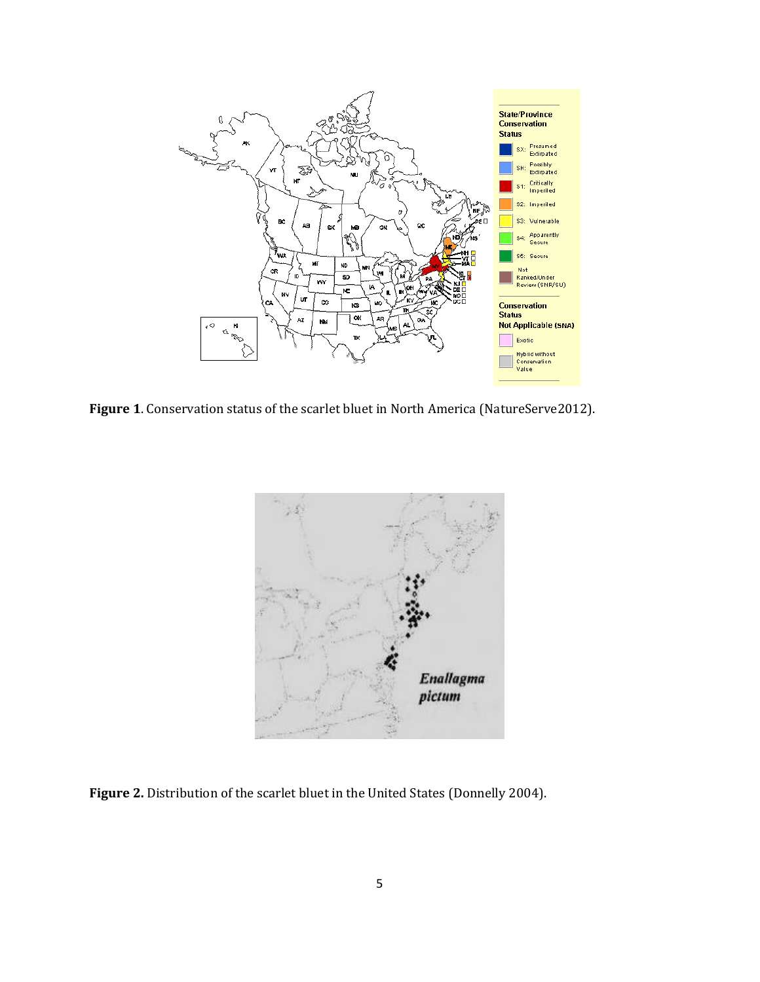

**Figure 1**. Conservation status of the scarlet bluet in North America (NatureServe2012).



Figure 2. Distribution of the scarlet bluet in the United States (Donnelly 2004).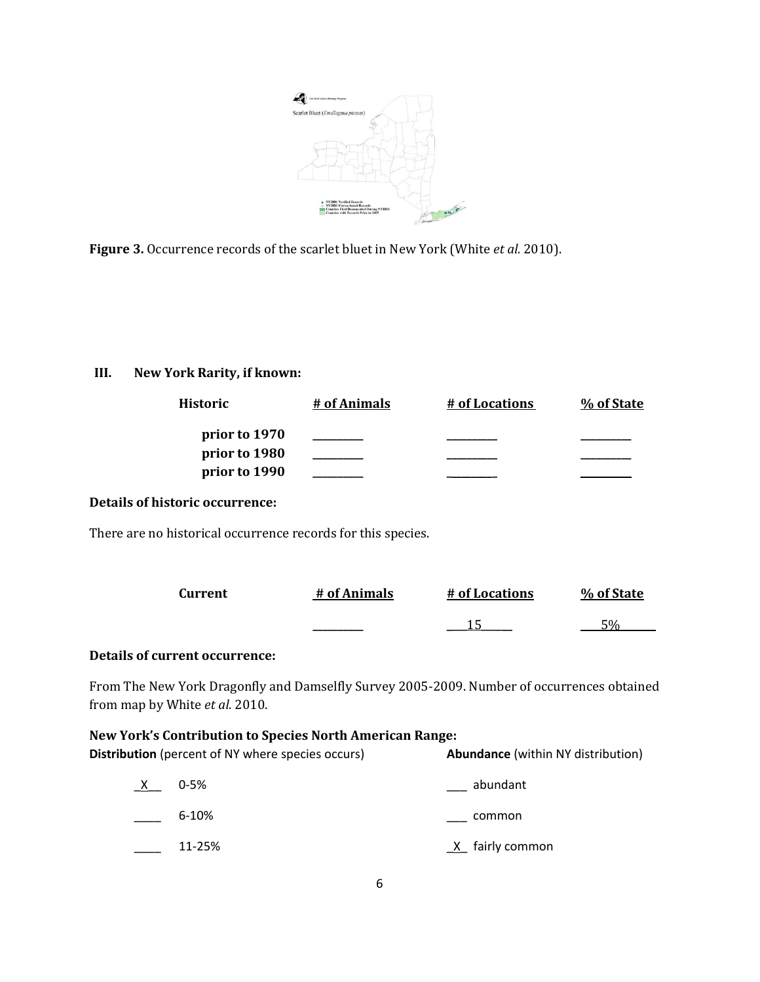

**Figure 3.** Occurrence records of the scarlet bluet in New York (White *et al.* 2010).

# **III. New York Rarity, if known:**

| Historic      | # of Animals | # of Locations | % of State |
|---------------|--------------|----------------|------------|
| prior to 1970 |              |                |            |
| prior to 1980 |              |                |            |
| prior to 1990 |              |                |            |

# **Details of historic occurrence:**

There are no historical occurrence records for this species.

| Current | # of Animals | # of Locations | % of State      |
|---------|--------------|----------------|-----------------|
|         |              |                | $\overline{50}$ |

# **Details of current occurrence:**

From The New York Dragonfly and Damselfly Survey 2005-2009. Number of occurrences obtained from map by White *et al.* 2010.

## **New York's Contribution to Species North American Range:**

**Distribution** (percent of NY where species occurs) **Abundance** (within NY distribution)

| X | $0 - 5%$  | abundant        |
|---|-----------|-----------------|
|   | $6 - 10%$ | common          |
|   | 11-25%    | X fairly common |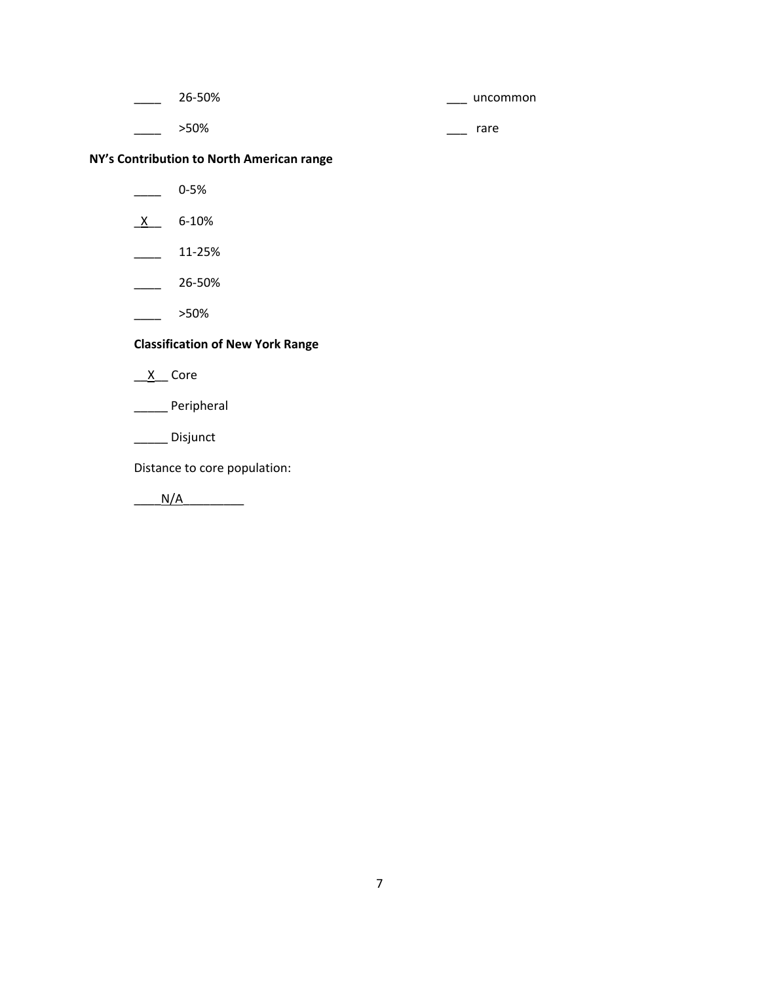| 26-50% |     | uncommon |
|--------|-----|----------|
| >50%   | ___ | rare     |

# **NY's Contribution to North American range**

- $\frac{1}{2}$  0-5%
- $X$  6-10%
- $\frac{11-25\%}{2}$
- $26-50\%$
- $\frac{\ }{\ }$  >50%

# **Classification of New York Range**

 $X$  Core

\_\_\_\_\_ Peripheral

\_\_\_\_\_\_ Disjunct

Distance to core population:

 $N/A$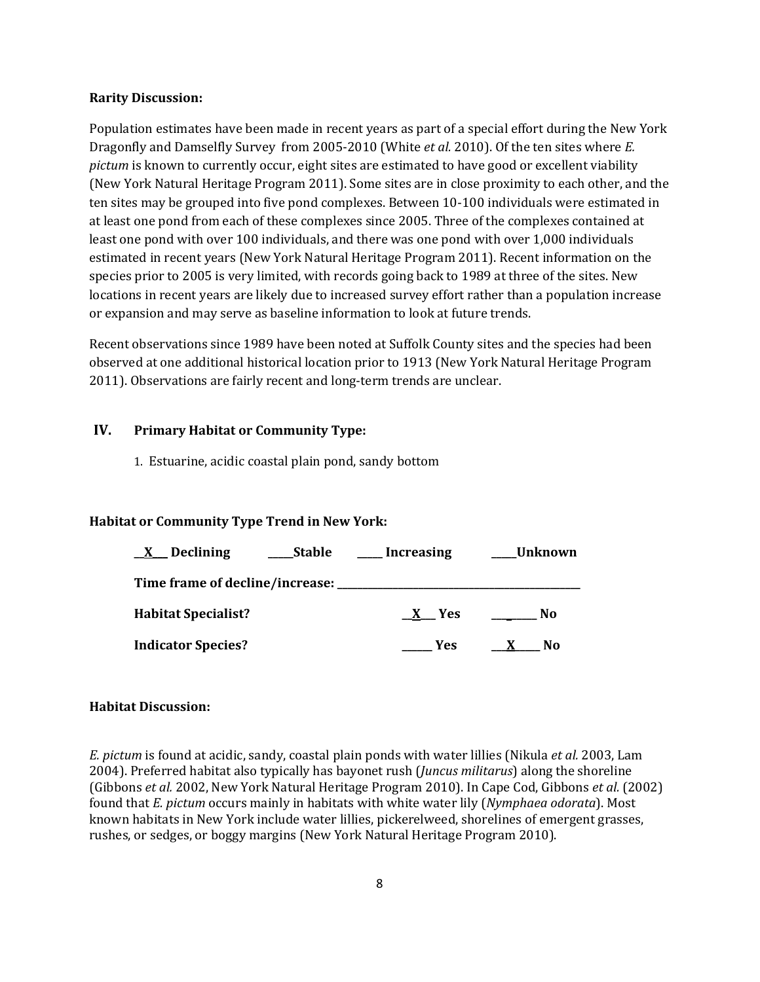#### **Rarity Discussion:**

Population estimates have been made in recent years as part of a special effort during the New York Dragonfly and Damselfly Survey from 2005-2010 (White *et al.* 2010). Of the ten sites where *E. pictum* is known to currently occur, eight sites are estimated to have good or excellent viability (New York Natural Heritage Program 2011). Some sites are in close proximity to each other, and the ten sites may be grouped into five pond complexes. Between 10-100 individuals were estimated in at least one pond from each of these complexes since 2005. Three of the complexes contained at least one pond with over 100 individuals, and there was one pond with over 1,000 individuals estimated in recent years (New York Natural Heritage Program 2011). Recent information on the species prior to 2005 is very limited, with records going back to 1989 at three of the sites. New locations in recent years are likely due to increased survey effort rather than a population increase or expansion and may serve as baseline information to look at future trends.

Recent observations since 1989 have been noted at Suffolk County sites and the species had been observed at one additional historical location prior to 1913 (New York Natural Heritage Program 2011). Observations are fairly recent and long-term trends are unclear.

### **IV. Primary Habitat or Community Type:**

1. Estuarine, acidic coastal plain pond, sandy bottom

### **Habitat or Community Type Trend in New York:**

| Declining<br>$\mathbf{X}$              | <b>Stable</b> | Increasing | Unknown |
|----------------------------------------|---------------|------------|---------|
| Time frame of decline/increase: ______ |               |            |         |
| <b>Habitat Specialist?</b>             |               | - Yes<br>X | No      |
| <b>Indicator Species?</b>              |               | <b>Yes</b> | No      |

### **Habitat Discussion:**

*E. pictum* is found at acidic, sandy, coastal plain ponds with water lillies (Nikula *et al.* 2003, Lam 2004). Preferred habitat also typically has bayonet rush (*Juncus militarus*) along the shoreline (Gibbons *et al.* 2002, New York Natural Heritage Program 2010). In Cape Cod, Gibbons *et al.* (2002) found that *E. pictum* occurs mainly in habitats with white water lily (*Nymphaea odorata*). Most known habitats in New York include water lillies, pickerelweed, shorelines of emergent grasses, rushes, or sedges, or boggy margins (New York Natural Heritage Program 2010).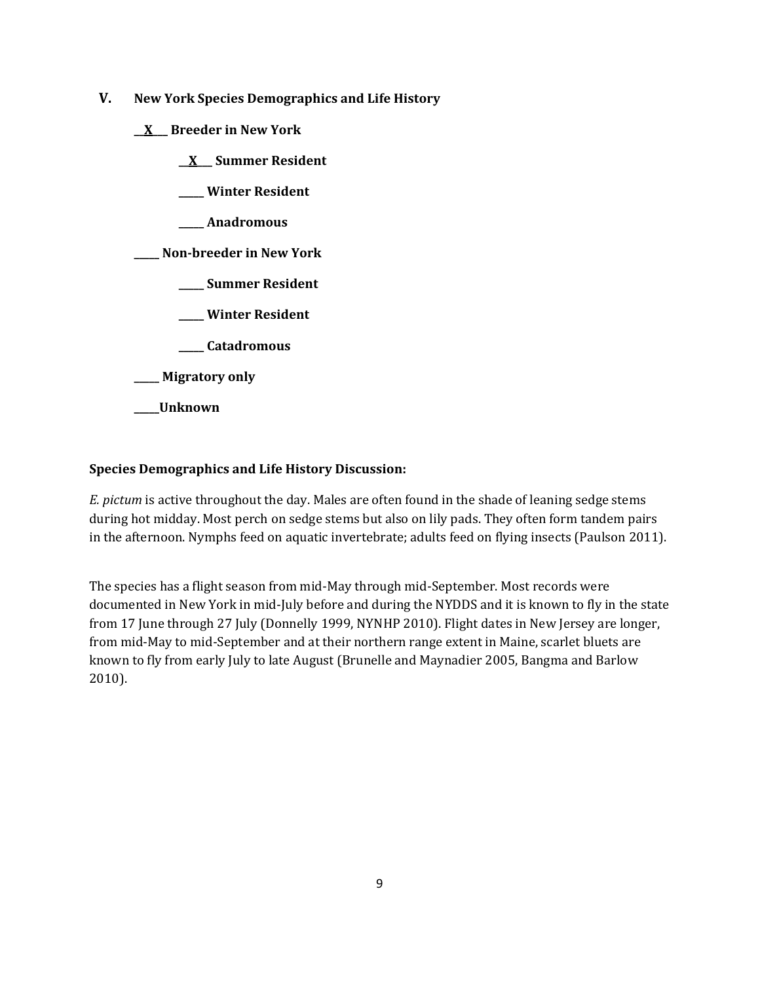- **V. New York Species Demographics and Life History**
	- **\_\_X\_\_\_ Breeder in New York**
		- **\_\_X\_\_\_ Summer Resident**
		- **\_\_\_\_\_ Winter Resident**
		- **\_\_\_\_\_ Anadromous**

**\_\_\_\_\_ Non-breeder in New York**

- **\_\_\_\_\_ Summer Resident**
- **\_\_\_\_\_ Winter Resident**
- **\_\_\_\_\_ Catadromous**
- **\_\_\_\_\_ Migratory only**
- **\_\_\_\_\_Unknown**

## **Species Demographics and Life History Discussion:**

*E. pictum* is active throughout the day. Males are often found in the shade of leaning sedge stems during hot midday. Most perch on sedge stems but also on lily pads. They often form tandem pairs in the afternoon. Nymphs feed on aquatic invertebrate; adults feed on flying insects (Paulson 2011).

The species has a flight season from mid-May through mid-September. Most records were documented in New York in mid-July before and during the NYDDS and it is known to fly in the state from 17 June through 27 July (Donnelly 1999, NYNHP 2010). Flight dates in New Jersey are longer, from mid-May to mid-September and at their northern range extent in Maine, scarlet bluets are known to fly from early July to late August (Brunelle and Maynadier 2005, Bangma and Barlow 2010).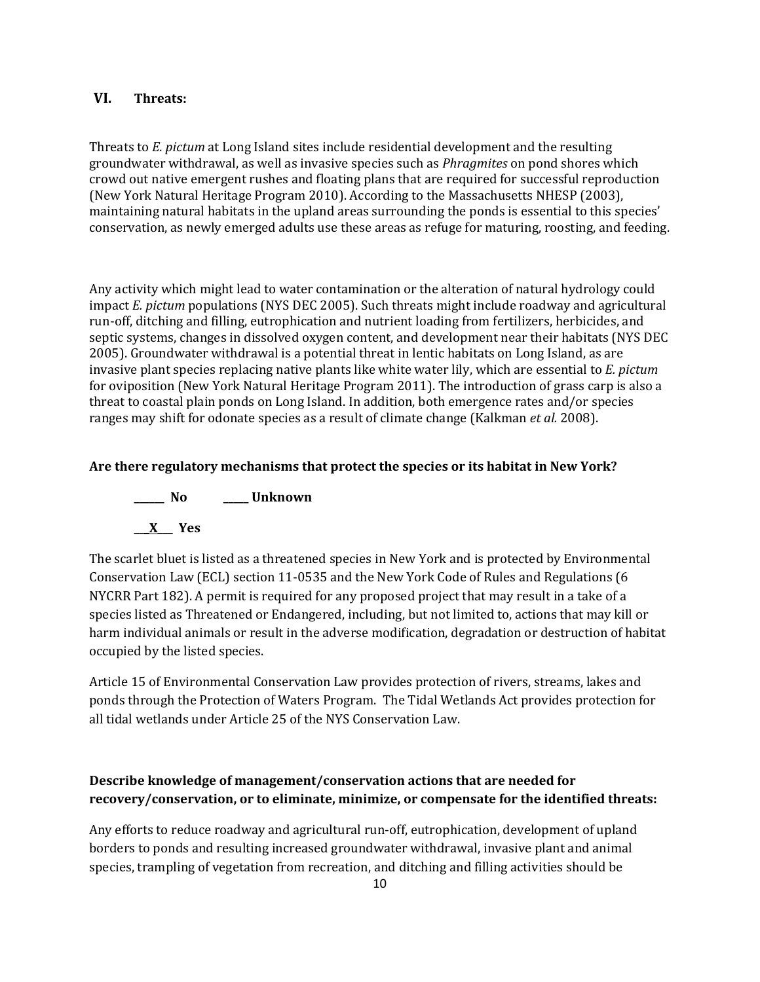# **VI. Threats:**

Threats to *E. pictum* at Long Island sites include residential development and the resulting groundwater withdrawal, as well as invasive species such as *Phragmites* on pond shores which crowd out native emergent rushes and floating plans that are required for successful reproduction (New York Natural Heritage Program 2010). According to the Massachusetts NHESP (2003), maintaining natural habitats in the upland areas surrounding the ponds is essential to this species' conservation, as newly emerged adults use these areas as refuge for maturing, roosting, and feeding.

Any activity which might lead to water contamination or the alteration of natural hydrology could impact *E. pictum* populations (NYS DEC 2005). Such threats might include roadway and agricultural run-off, ditching and filling, eutrophication and nutrient loading from fertilizers, herbicides, and septic systems, changes in dissolved oxygen content, and development near their habitats (NYS DEC 2005). Groundwater withdrawal is a potential threat in lentic habitats on Long Island, as are invasive plant species replacing native plants like white water lily, which are essential to *E. pictum* for oviposition (New York Natural Heritage Program 2011). The introduction of grass carp is also a threat to coastal plain ponds on Long Island. In addition, both emergence rates and/or species ranges may shift for odonate species as a result of climate change (Kalkman *et al.* 2008).

### **Are there regulatory mechanisms that protect the species or its habitat in New York?**



The scarlet bluet is listed as a threatened species in New York and is protected by Environmental Conservation Law (ECL) section 11-0535 and the New York Code of Rules and Regulations (6 NYCRR Part 182). A permit is required for any proposed project that may result in a take of a species listed as Threatened or Endangered, including, but not limited to, actions that may kill or harm individual animals or result in the adverse modification, degradation or destruction of habitat occupied by the listed species.

Article 15 of Environmental Conservation Law provides protection of rivers, streams, lakes and ponds through the Protection of Waters Program. The Tidal Wetlands Act provides protection for all tidal wetlands under Article 25 of the NYS Conservation Law.

# **Describe knowledge of management/conservation actions that are needed for recovery/conservation, or to eliminate, minimize, or compensate for the identified threats:**

Any efforts to reduce roadway and agricultural run-off, eutrophication, development of upland borders to ponds and resulting increased groundwater withdrawal, invasive plant and animal species, trampling of vegetation from recreation, and ditching and filling activities should be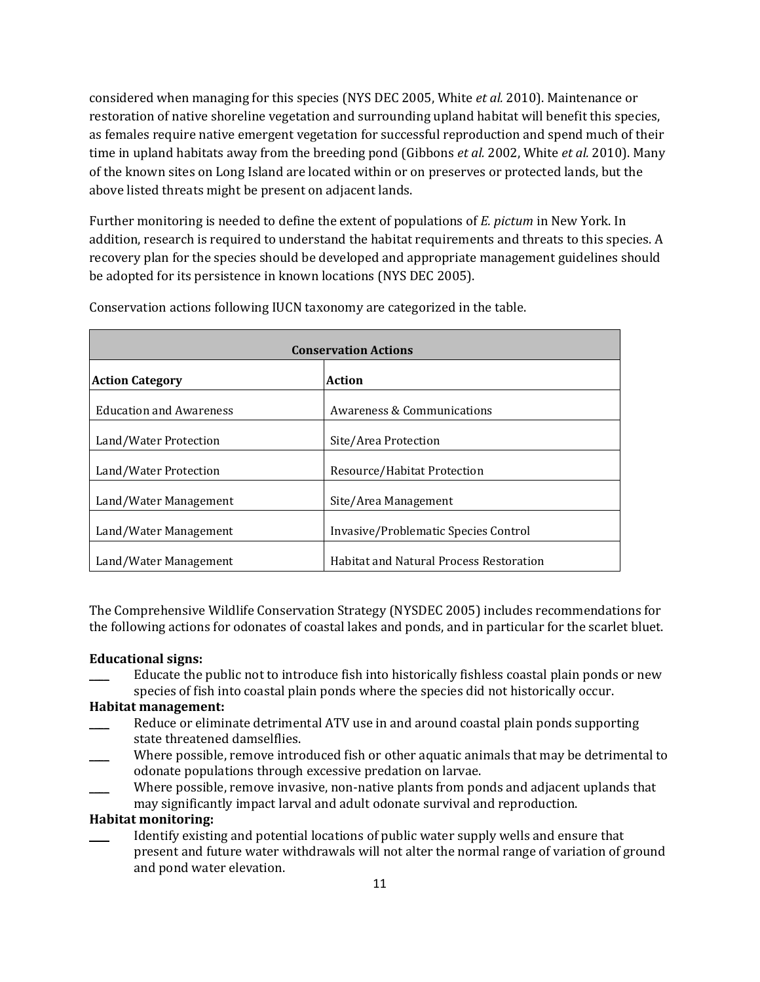considered when managing for this species (NYS DEC 2005, White *et al.* 2010). Maintenance or restoration of native shoreline vegetation and surrounding upland habitat will benefit this species, as females require native emergent vegetation for successful reproduction and spend much of their time in upland habitats away from the breeding pond (Gibbons *et al.* 2002, White *et al.* 2010). Many of the known sites on Long Island are located within or on preserves or protected lands, but the above listed threats might be present on adjacent lands.

Further monitoring is needed to define the extent of populations of *E. pictum* in New York. In addition, research is required to understand the habitat requirements and threats to this species. A recovery plan for the species should be developed and appropriate management guidelines should be adopted for its persistence in known locations (NYS DEC 2005).

| <b>Conservation Actions</b>      |                                                |  |
|----------------------------------|------------------------------------------------|--|
| Action<br><b>Action Category</b> |                                                |  |
| <b>Education and Awareness</b>   | Awareness & Communications                     |  |
| Land/Water Protection            | Site/Area Protection                           |  |
| Land/Water Protection            | Resource/Habitat Protection                    |  |
| Land/Water Management            | Site/Area Management                           |  |
| Land/Water Management            | Invasive/Problematic Species Control           |  |
| Land/Water Management            | <b>Habitat and Natural Process Restoration</b> |  |

Conservation actions following IUCN taxonomy are categorized in the table.

The Comprehensive Wildlife Conservation Strategy (NYSDEC 2005) includes recommendations for the following actions for odonates of coastal lakes and ponds, and in particular for the scarlet bluet.

### **Educational signs:**

Educate the public not to introduce fish into historically fishless coastal plain ponds or new species of fish into coastal plain ponds where the species did not historically occur.

#### **Habitat management:**

- Reduce or eliminate detrimental ATV use in and around coastal plain ponds supporting state threatened damselflies.
- Where possible, remove introduced fish or other aquatic animals that may be detrimental to odonate populations through excessive predation on larvae.
- Where possible, remove invasive, non-native plants from ponds and adjacent uplands that may significantly impact larval and adult odonate survival and reproduction.

## **Habitat monitoring:**

Identify existing and potential locations of public water supply wells and ensure that present and future water withdrawals will not alter the normal range of variation of ground and pond water elevation.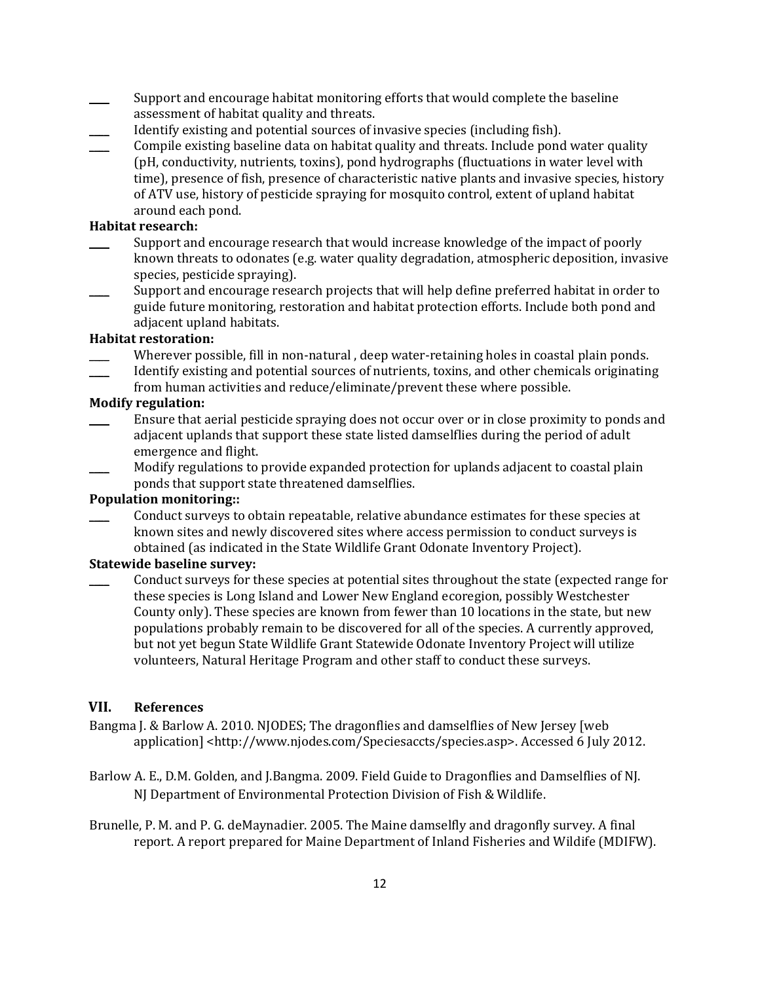- Support and encourage habitat monitoring efforts that would complete the baseline assessment of habitat quality and threats.
- Identify existing and potential sources of invasive species (including fish).
- \_\_\_\_ Compile existing baseline data on habitat quality and threats. Include pond water quality (pH, conductivity, nutrients, toxins), pond hydrographs (fluctuations in water level with time), presence of fish, presence of characteristic native plants and invasive species, history of ATV use, history of pesticide spraying for mosquito control, extent of upland habitat around each pond.

## **Habitat research:**

- Support and encourage research that would increase knowledge of the impact of poorly known threats to odonates (e.g. water quality degradation, atmospheric deposition, invasive species, pesticide spraying).
- Support and encourage research projects that will help define preferred habitat in order to guide future monitoring, restoration and habitat protection efforts. Include both pond and adiacent upland habitats.

#### **Habitat restoration:**

- Wherever possible, fill in non-natural, deep water-retaining holes in coastal plain ponds. \_\_\_\_ Identify existing and potential sources of nutrients, toxins, and other chemicals originating
- from human activities and reduce/eliminate/prevent these where possible.

# **Modify regulation:**

- \_\_\_\_ Ensure that aerial pesticide spraying does not occur over or in close proximity to ponds and adjacent uplands that support these state listed damselflies during the period of adult emergence and flight.
- Modify regulations to provide expanded protection for uplands adjacent to coastal plain ponds that support state threatened damselflies.

## **Population monitoring::**

\_\_\_\_ Conduct surveys to obtain repeatable, relative abundance estimates for these species at known sites and newly discovered sites where access permission to conduct surveys is obtained (as indicated in the State Wildlife Grant Odonate Inventory Project).

### **Statewide baseline survey:**

\_\_\_\_ Conduct surveys for these species at potential sites throughout the state (expected range for these species is Long Island and Lower New England ecoregion, possibly Westchester County only). These species are known from fewer than 10 locations in the state, but new populations probably remain to be discovered for all of the species. A currently approved, but not yet begun State Wildlife Grant Statewide Odonate Inventory Project will utilize volunteers, Natural Heritage Program and other staff to conduct these surveys.

### **VII. References**

- Bangma J. & Barlow A. 2010. NJODES; The dragonflies and damselflies of New Jersey [web application] <http://www.njodes.com/Speciesaccts/species.asp>. Accessed 6 July 2012.
- Barlow A. E., D.M. Golden, and J.Bangma. 2009. Field Guide to Dragonflies and Damselflies of NJ. NJ Department of Environmental Protection Division of Fish & Wildlife.
- Brunelle, P. M. and P. G. deMaynadier. 2005. The Maine damselfly and dragonfly survey. A final report. A report prepared for Maine Department of Inland Fisheries and Wildife (MDIFW).